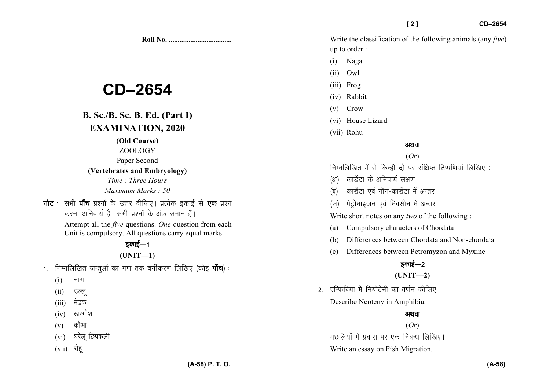**Roll No. ...................................** 

# **CD–2654**

# **B. Sc./B. Sc. B. Ed. (Part I) EXAMINATION, 2020**

#### **(Old Course)**

## ZOOLOGY Paper Second **(Vertebrates and Embryology)** *Time : Three Hours Maximum Marks : 50*

**नोट** : सभी **पाँच** प्रश्नों के उत्तर दीजिए। प्रत्येक इकाई से **एक** प्रश्न करना अनिवार्य है। सभी प्रश्नों के अंक समान हैं। Attempt all the *five* questions. *One* question from each Unit is compulsory. All questions carry equal marks.

## डकाई—1 **(UNIT—1)**

- 1. निम्नलिखित जन्तुओं का गण तक वर्गीकरण लिखिए (कोई **पाँच**) :
	- $(i)$  नाग
	- (ii) তল<u>্</u>ন
	- (iii) मेढक
	- (iv) खरगोश
	- $(v)$  कौआ
	- $(vi)$  घरेलू छिपकली
	- $(vii)$  रोहू

Write the classification of the following animals (any *five*) up to order :

- (i) Naga
- (ii) Owl
- (iii) Frog
- (iv) Rabbit
- (v) Crow
- (vi) House Lizard
- (vii) Rohu

## अथवा

## (*Or*)

निम्नलिखित में से किन्हीं **दो** पर संक्षिप्त टिप्पणियाँ लिखिए:

- $(x)$  कार्डेटा के अनिवार्य लक्षण
- (ब) कार्डेटा एवं नॉन-कार्डेटा में अन्तर
- (स) पेटोमाइजन एवं मिक्सीन में अन्तर

Write short notes on any *two* of the following :

- (a) Compulsory characters of Chordata
- (b) Differences between Chordata and Non-chordata
- (c) Differences between Petromyzon and Myxine

# इकाई—2

## **(UNIT—2)**

2- एम्फिबिया में नियोटेनी का वर्णन कीजिए। Describe Neoteny in Amphibia.

## अथवा

# (*Or*) मछलियों में प्रवास पर एक निबन्ध लिखिए। Write an essay on Fish Migration.

#### **(A-58) P. T. O.**